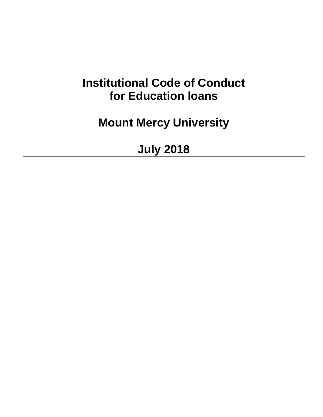# **Institutional Code of Conduct for Education loans**

**Mount Mercy University**

**July 2018**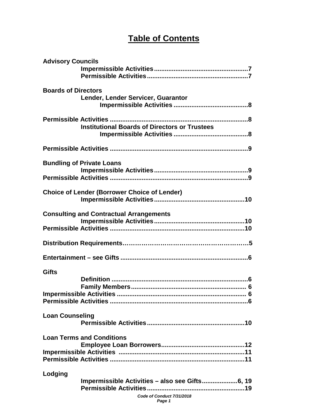# **Table of Contents**

| <b>Advisory Councils</b>   |                                                                                       |  |
|----------------------------|---------------------------------------------------------------------------------------|--|
| <b>Boards of Directors</b> | Lender, Lender Servicer, Guarantor                                                    |  |
|                            | <b>Institutional Boards of Directors or Trustees</b>                                  |  |
|                            |                                                                                       |  |
|                            | <b>Bundling of Private Loans</b>                                                      |  |
|                            | <b>Choice of Lender (Borrower Choice of Lender)</b>                                   |  |
|                            | <b>Consulting and Contractual Arrangements</b>                                        |  |
|                            |                                                                                       |  |
|                            |                                                                                       |  |
| <b>Gifts</b>               |                                                                                       |  |
| <b>Loan Counseling</b>     |                                                                                       |  |
|                            | <b>Loan Terms and Conditions</b>                                                      |  |
| Lodging                    | Impermissible Activities - also see Gifts6, 19<br>Code of Conduct 7/31/2018<br>Page 1 |  |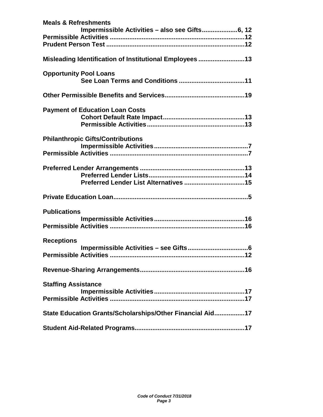| <b>Meals &amp; Refreshments</b> | Impermissible Activities - also see Gifts6, 12            |
|---------------------------------|-----------------------------------------------------------|
|                                 |                                                           |
|                                 |                                                           |
|                                 |                                                           |
|                                 | Misleading Identification of Institutional Employees 13   |
|                                 |                                                           |
| <b>Opportunity Pool Loans</b>   |                                                           |
|                                 |                                                           |
|                                 |                                                           |
|                                 |                                                           |
|                                 | <b>Payment of Education Loan Costs</b>                    |
|                                 |                                                           |
|                                 |                                                           |
|                                 |                                                           |
|                                 | <b>Philanthropic Gifts/Contributions</b>                  |
|                                 |                                                           |
|                                 |                                                           |
|                                 |                                                           |
|                                 |                                                           |
|                                 |                                                           |
|                                 |                                                           |
|                                 |                                                           |
| <b>Publications</b>             |                                                           |
|                                 |                                                           |
|                                 |                                                           |
|                                 |                                                           |
| <b>Receptions</b>               |                                                           |
|                                 |                                                           |
|                                 | Permissible Activities                                    |
|                                 |                                                           |
|                                 |                                                           |
| <b>Staffing Assistance</b>      |                                                           |
|                                 |                                                           |
|                                 |                                                           |
|                                 |                                                           |
|                                 | State Education Grants/Scholarships/Other Financial Aid17 |
|                                 |                                                           |
|                                 |                                                           |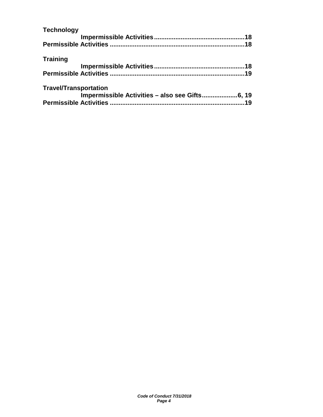| 19 |
|----|
|    |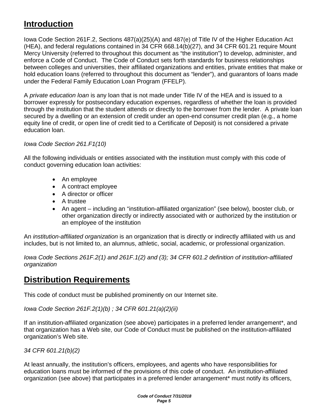## **Introduction**

Iowa Code Section 261F.2, Sections 487(a)(25)(A) and 487(e) of Title IV of the Higher Education Act (HEA), and federal regulations contained in 34 CFR 668.14(b)(27), and 34 CFR 601.21 require Mount Mercy University (referred to throughout this document as "the institution") to develop, administer, and enforce a Code of Conduct. The Code of Conduct sets forth standards for business relationships between colleges and universities, their affiliated organizations and entities, private entities that make or hold education loans (referred to throughout this document as "lender"), and guarantors of loans made under the Federal Family Education Loan Program (FFELP).

A *private education loan* is any loan that is not made under Title IV of the HEA and is issued to a borrower expressly for postsecondary education expenses, regardless of whether the loan is provided through the institution that the student attends or directly to the borrower from the lender. A private loan secured by a dwelling or an extension of credit under an open-end consumer credit plan (e.g., a home equity line of credit, or open line of credit tied to a Certificate of Deposit) is not considered a private education loan.

### *Iowa Code Section 261.F1(10)*

All the following individuals or entities associated with the institution must comply with this code of conduct governing education loan activities:

- An employee
- A contract employee
- A director or officer
- A trustee
- An agent including an "institution-affiliated organization" (see below), booster club, or other organization directly or indirectly associated with or authorized by the institution or an employee of the institution

An *institution-affiliated organization* is an organization that is directly or indirectly affiliated with us and includes, but is not limited to, an alumnus, athletic, social, academic, or professional organization.

*Iowa Code Sections 261F.2(1) and 261F.1(2) and (3); 34 CFR 601.2 definition of institution-affiliated organization*

### **Distribution Requirements**

This code of conduct must be published prominently on our Internet site.

*Iowa Code Section 261F.2(1)(b) ; 34 CFR 601.21(a)(2)(ii)*

If an institution-affiliated organization (see above) participates in a preferred lender arrangement\*, and that organization has a Web site, our Code of Conduct must be published on the institution-affiliated organization's Web site.

*34 CFR 601.21(b)(2)*

At least annually, the institution's officers, employees, and agents who have responsibilities for education loans must be informed of the provisions of this code of conduct. An institution-affiliated organization (see above) that participates in a preferred lender arrangement\* must notify its officers,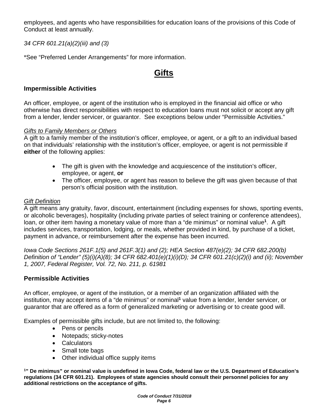employees, and agents who have responsibilities for education loans of the provisions of this Code of Conduct at least annually.

*34 CFR 601.21(a)(2)(iii) and (3)*

\*See "Preferred Lender Arrangements" for more information.

### **Gifts**

### **Impermissible Activities**

An officer, employee, or agent of the institution who is employed in the financial aid office or who otherwise has direct responsibilities with respect to education loans must not solicit or accept any gift from a lender, lender servicer, or guarantor. See exceptions below under "Permissible Activities."

#### *Gifts to Family Members or Others*

A gift to a family member of the institution's officer, employee, or agent, or a gift to an individual based on that individuals' relationship with the institution's officer, employee, or agent is not permissible if **either** of the following applies:

- The gift is given with the knowledge and acquiescence of the institution's officer, employee, or agent, **or**
- The officer, employee, or agent has reason to believe the gift was given because of that person's official position with the institution.

### *Gift Definition*

A gift means any gratuity, favor, discount, entertainment (including expenses for shows, sporting events, or alcoholic beverages), hospitality (including private parties of select training or conference attendees), loan, or other item having a monetary value of more than a "de minimus" or nominal value**<sup>1</sup>**. A gift includes services, transportation, lodging, or meals, whether provided in kind, by purchase of a ticket, payment in advance, or reimbursement after the expense has been incurred.

*Iowa Code Sections 261F.1(5) and 261F.3(1) and (2); HEA Section 487(e)(2); 34 CFR 682.200(b) Definition of "Lender" (5)(i)(A)(8); 34 CFR 682.401(e)(1)(i)(D); 34 CFR 601.21(c)(2)(i) and (ii); November 1, 2007, Federal Register, Vol. 72, No. 211, p. 61981*

### **Permissible Activities**

An officer, employee, or agent of the institution, or a member of an organization affiliated with the institution, may accept items of a "de minimus" or nominal**<sup>1</sup>** value from a lender, lender servicer, or guarantor that are offered as a form of generalized marketing or advertising or to create good will.

Examples of permissible gifts include, but are not limited to, the following:

- Pens or pencils
- Notepads; sticky-notes
- Calculators
- Small tote bags
- Other individual office supply items

**1" De minimus" or nominal value is undefined in Iowa Code, federal law or the U.S. Department of Education's regulations (34 CFR 601.21). Employees of state agencies should consult their personnel policies for any additional restrictions on the acceptance of gifts.**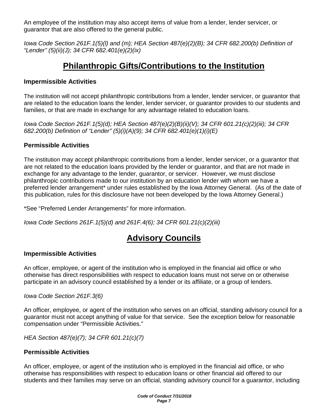An employee of the institution may also accept items of value from a lender, lender servicer, or guarantor that are also offered to the general public.

*Iowa Code Section 261F.1(5)(l) and (m); HEA Section 487(e)(2)(B); 34 CFR 682.200(b) Definition of "Lender" (5)(ii)(J); 34 CFR 682.401(e)(2)(ix)*

### **Philanthropic Gifts/Contributions to the Institution**

### **Impermissible Activities**

The institution will not accept philanthropic contributions from a lender, lender servicer, or guarantor that are related to the education loans the lender, lender servicer, or guarantor provides to our students and families, or that are made in exchange for any advantage related to education loans.

*Iowa Code Section 261F.1(5)(d); HEA Section 487(e)(2)(B)(ii)(V); 34 CFR 601.21(c)(2)(iii); 34 CFR 682.200(b) Definition of "Lender" (5)(i)(A)(9); 34 CFR 682.401(e)(1)(i)(E)*

### **Permissible Activities**

The institution may accept philanthropic contributions from a lender, lender servicer, or a guarantor that are not related to the education loans provided by the lender or guarantor, and that are not made in exchange for any advantage to the lender, guarantor, or servicer. However, we must disclose philanthropic contributions made to our institution by an education lender with whom we have a preferred lender arrangement\* under rules established by the Iowa Attorney General. (As of the date of this publication, rules for this disclosure have not been developed by the Iowa Attorney General.)

\*See "Preferred Lender Arrangements" for more information.

*Iowa Code Sections 261F.1(5)(d) and 261F.4(6); 34 CFR 601.21(c)(2)(iii)*

### **Advisory Councils**

### **Impermissible Activities**

An officer, employee, or agent of the institution who is employed in the financial aid office or who otherwise has direct responsibilities with respect to education loans must not serve on or otherwise participate in an advisory council established by a lender or its affiliate, or a group of lenders.

*Iowa Code Section 261F.3(6)*

An officer, employee, or agent of the institution who serves on an official, standing advisory council for a guarantor must not accept anything of value for that service. See the exception below for reasonable compensation under "Permissible Activities."

*HEA Section 487(e)(7); 34 CFR 601.21(c)(7)*

### **Permissible Activities**

An officer, employee, or agent of the institution who is employed in the financial aid office, or who otherwise has responsibilities with respect to education loans or other financial aid offered to our students and their families may serve on an official, standing advisory council for a guarantor, including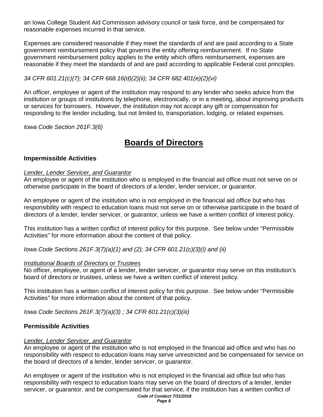an Iowa College Student Aid Commission advisory council or task force, and be compensated for reasonable expenses incurred in that service.

Expenses are considered reasonable if they meet the standards of and are paid according to a State government reimbursement policy that governs the entity offering reimbursement. If no State government reimbursement policy applies to the entity which offers reimbursement, expenses are reasonable if they meet the standards of and are paid according to applicable Federal cost principles.

### *34 CFR 601.21(c)(7); 34 CFR 668.16(d)(2)(ii); 34 CFR 682.401(e)(2)(vi)*

An officer, employee or agent of the institution may respond to any lender who seeks advice from the institution or groups of institutions by telephone, electronically, or in a meeting, about improving products or services for borrowers. However, the institution may not accept any gift or compensation for responding to the lender including, but not limited to, transportation, lodging, or related expenses.

*Iowa Code Section 261F.3(6)*

### **Boards of Directors**

### **Impermissible Activities**

#### *Lender, Lender Servicer, and Guarantor*

An employee or agent of the institution who is employed in the financial aid office must not serve on or otherwise participate in the board of directors of a lender, lender servicer, or guarantor.

An employee or agent of the institution who is not employed in the financial aid office but who has responsibility with respect to education loans must not serve on or otherwise participate in the board of directors of a lender, lender servicer, or guarantor, unless we have a written conflict of interest policy.

This institution has a written conflict of interest policy for this purpose. See below under "Permissible Activities" for more information about the content of that policy.

*Iowa Code Sections 261F.3(7)(a)(1) and (2); 34 CFR 601.21(c)(3)(i) and (ii)*

#### *Institutional Boards of Directors or Trustees*

No officer, employee, or agent of a lender, lender servicer, or guarantor may serve on this institution's board of directors or trustees, unless we have a written conflict of interest policy.

This institution has a written conflict of interest policy for this purpose. See below under "Permissible Activities" for more information about the content of that policy.

*Iowa Code Sections 261F.3(7)(a)(3) ; 34 CFR 601.21(c)(3)(iii)*

### **Permissible Activities**

#### *Lender, Lender Servicer, and Guarantor*

An employee or agent of the institution who is not employed in the financial aid office and who has no responsibility with respect to education loans may serve unrestricted and be compensated for service on the board of directors of a lender, lender servicer, or guarantor.

*Code of Conduct 7/31/2018* An employee or agent of the institution who is not employed in the financial aid office but who has responsibility with respect to education loans may serve on the board of directors of a lender, lender servicer, or guarantor, and be compensated for that service, if the institution has a written conflict of

*Page 8*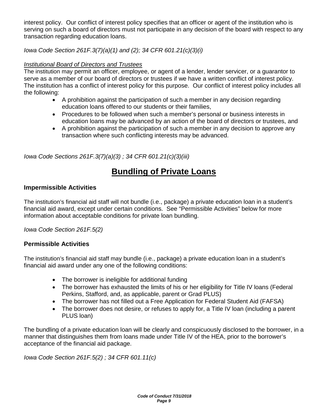interest policy. Our conflict of interest policy specifies that an officer or agent of the institution who is serving on such a board of directors must not participate in any decision of the board with respect to any transaction regarding education loans.

*Iowa Code Section 261F.3(7)(a)(1) and (2); 34 CFR 601.21(c)(3)(i)*

### *Institutional Board of Directors and Trustees*

The institution may permit an officer, employee, or agent of a lender, lender servicer, or a guarantor to serve as a member of our board of directors or trustees if we have a written conflict of interest policy. The institution has a conflict of interest policy for this purpose. Our conflict of interest policy includes all the following:

- A prohibition against the participation of such a member in any decision regarding education loans offered to our students or their families,
- Procedures to be followed when such a member's personal or business interests in education loans may be advanced by an action of the board of directors or trustees, and
- A prohibition against the participation of such a member in any decision to approve any transaction where such conflicting interests may be advanced.

*Iowa Code Sections 261F.3(7)(a)(3) ; 34 CFR 601.21(c)(3)(iii)*

# **Bundling of Private Loans**

### **Impermissible Activities**

The institution's financial aid staff will not bundle (i.e., package) a private education loan in a student's financial aid award, except under certain conditions. See "Permissible Activities" below for more information about acceptable conditions for private loan bundling.

*Iowa Code Section 261F.5(2)*

### **Permissible Activities**

The institution's financial aid staff may bundle (i.e., package) a private education loan in a student's financial aid award under any one of the following conditions:

- The borrower is ineligible for additional funding
- The borrower has exhausted the limits of his or her eligibility for Title IV loans (Federal Perkins, Stafford, and, as applicable, parent or Grad PLUS)
- The borrower has not filled out a Free Application for Federal Student Aid (FAFSA)
- The borrower does not desire, or refuses to apply for, a Title IV loan (including a parent PLUS loan)

The bundling of a private education loan will be clearly and conspicuously disclosed to the borrower, in a manner that distinguishes them from loans made under Title IV of the HEA, prior to the borrower's acceptance of the financial aid package.

*Iowa Code Section 261F.5(2) ; 34 CFR 601.11(c)*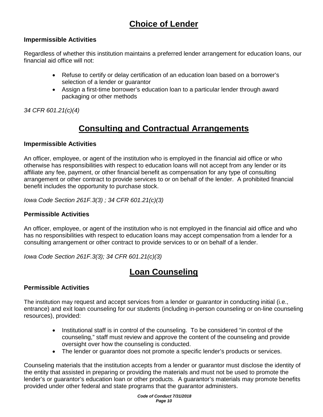# **Choice of Lender**

### **Impermissible Activities**

Regardless of whether this institution maintains a preferred lender arrangement for education loans, our financial aid office will not:

- Refuse to certify or delay certification of an education loan based on a borrower's selection of a lender or guarantor
- Assign a first-time borrower's education loan to a particular lender through award packaging or other methods

*34 CFR 601.21(c)(4)*

# **Consulting and Contractual Arrangements**

### **Impermissible Activities**

An officer, employee, or agent of the institution who is employed in the financial aid office or who otherwise has responsibilities with respect to education loans will not accept from any lender or its affiliate any fee, payment, or other financial benefit as compensation for any type of consulting arrangement or other contract to provide services to or on behalf of the lender. A prohibited financial benefit includes the opportunity to purchase stock.

*Iowa Code Section 261F.3(3) ; 34 CFR 601.21(c)(3)*

### **Permissible Activities**

An officer, employee, or agent of the institution who is not employed in the financial aid office and who has no responsibilities with respect to education loans may accept compensation from a lender for a consulting arrangement or other contract to provide services to or on behalf of a lender.

*Iowa Code Section 261F.3(3); 34 CFR 601.21(c)(3)*

### **Loan Counseling**

### **Permissible Activities**

The institution may request and accept services from a lender or guarantor in conducting initial (i.e., entrance) and exit loan counseling for our students (including in-person counseling or on-line counseling resources), provided:

- Institutional staff is in control of the counseling. To be considered "in control of the counseling," staff must review and approve the content of the counseling and provide oversight over how the counseling is conducted.
- The lender or guarantor does not promote a specific lender's products or services.

Counseling materials that the institution accepts from a lender or guarantor must disclose the identity of the entity that assisted in preparing or providing the materials and must not be used to promote the lender's or guarantor's education loan or other products. A guarantor's materials may promote benefits provided under other federal and state programs that the guarantor administers.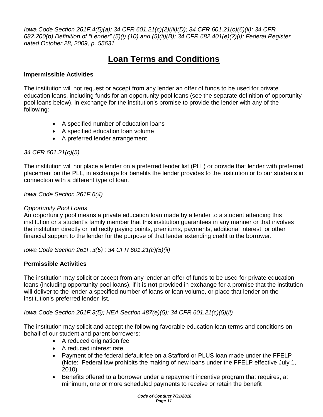*Iowa Code Section 261F.4(5)(a); 34 CFR 601.21(c)(2)(iii)(D); 34 CFR 601.21(c)(6)(ii); 34 CFR 682.200(b) Definition of "Lender" (5)(i) (10) and (5)(ii)(B); 34 CFR 682.401(e)(2)(i); Federal Register dated October 28, 2009, p. 55631*

# **Loan Terms and Conditions**

### **Impermissible Activities**

The institution will not request or accept from any lender an offer of funds to be used for private education loans, including funds for an opportunity pool loans (see the separate definition of opportunity pool loans below), in exchange for the institution's promise to provide the lender with any of the following:

- A specified number of education loans
- A specified education loan volume
- A preferred lender arrangement

### *34 CFR 601.21(c)(5)*

The institution will not place a lender on a preferred lender list (PLL) or provide that lender with preferred placement on the PLL, in exchange for benefits the lender provides to the institution or to our students in connection with a different type of loan.

*Iowa Code Section 261F.6(4)*

#### *Opportunity Pool Loans*

An opportunity pool means a private education loan made by a lender to a student attending this institution or a student's family member that this institution guarantees in any manner or that involves the institution directly or indirectly paying points, premiums, payments, additional interest, or other financial support to the lender for the purpose of that lender extending credit to the borrower.

*Iowa Code Section 261F.3(5) ; 34 CFR 601.21(c)(5)(ii)*

### **Permissible Activities**

The institution may solicit or accept from any lender an offer of funds to be used for private education loans (including opportunity pool loans), if it is **not** provided in exchange for a promise that the institution will deliver to the lender a specified number of loans or loan volume, or place that lender on the institution's preferred lender list.

*Iowa Code Section 261F.3(5); HEA Section 487(e)(5); 34 CFR 601.21(c)(5)(ii)*

The institution may solicit and accept the following favorable education loan terms and conditions on behalf of our student and parent borrowers:

- A reduced origination fee
- A reduced interest rate
- Payment of the federal default fee on a Stafford or PLUS loan made under the FFELP (Note: Federal law prohibits the making of new loans under the FFELP effective July 1, 2010)
- Benefits offered to a borrower under a repayment incentive program that requires, at minimum, one or more scheduled payments to receive or retain the benefit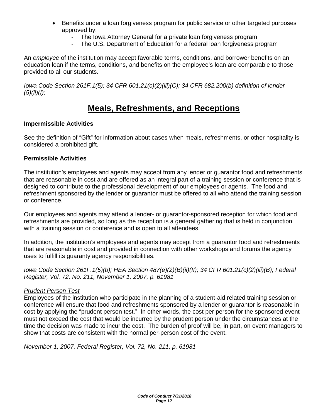- Benefits under a loan forgiveness program for public service or other targeted purposes approved by:
	- The Iowa Attorney General for a private loan forgiveness program
	- The U.S. Department of Education for a federal loan forgiveness program

An *employee* of the institution may accept favorable terms, conditions, and borrower benefits on an education loan if the terms, conditions, and benefits on the employee's loan are comparable to those provided to all our students.

*Iowa Code Section 261F.1(5); 34 CFR 601.21(c)(2)(iii)(C); 34 CFR 682.200(b) definition of lender (5)(ii)(I);* 

### **Meals, Refreshments, and Receptions**

#### **Impermissible Activities**

See the definition of "Gift" for information about cases when meals, refreshments, or other hospitality is considered a prohibited gift.

#### **Permissible Activities**

The institution's employees and agents may accept from any lender or guarantor food and refreshments that are reasonable in cost and are offered as an integral part of a training session or conference that is designed to contribute to the professional development of our employees or agents. The food and refreshment sponsored by the lender or guarantor must be offered to all who attend the training session or conference.

Our employees and agents may attend a lender- or guarantor-sponsored reception for which food and refreshments are provided, so long as the reception is a general gathering that is held in conjunction with a training session or conference and is open to all attendees.

In addition, the institution's employees and agents may accept from a guarantor food and refreshments that are reasonable in cost and provided in connection with other workshops and forums the agency uses to fulfill its guaranty agency responsibilities.

*Iowa Code Section 261F.1(5)(b); HEA Section 487(e)(2)(B)(ii)(II); 34 CFR 601.21(c)(2)(iii)(B); Federal Register, Vol. 72, No. 211, November 1, 2007, p. 61981*

### *Prudent Person Test*

Employees of the institution who participate in the planning of a student-aid related training session or conference will ensure that food and refreshments sponsored by a lender or guarantor is reasonable in cost by applying the "prudent person test." In other words, the cost per person for the sponsored event must not exceed the cost that would be incurred by the prudent person under the circumstances at the time the decision was made to incur the cost. The burden of proof will be, in part, on event managers to show that costs are consistent with the normal per-person cost of the event.

*November 1, 2007, Federal Register, Vol. 72, No. 211, p. 61981*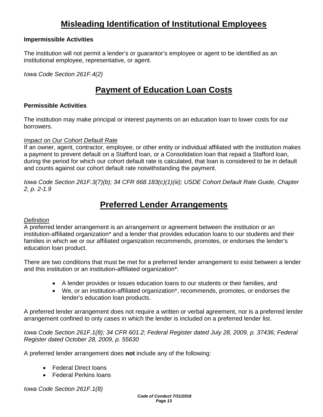# **Misleading Identification of Institutional Employees**

#### **Impermissible Activities**

The institution will not permit a lender's or guarantor's employee or agent to be identified as an institutional employee, representative, or agent.

*Iowa Code Section 261F.4(2)*

### **Payment of Education Loan Costs**

#### **Permissible Activities**

The institution may make principal or interest payments on an education loan to lower costs for our borrowers.

#### *Impact on Our Cohort Default Rate*

If an owner, agent, contractor, employee, or other entity or individual affiliated with the institution makes a payment to prevent default on a Stafford loan, or a Consolidation loan that repaid a Stafford loan, during the period for which our cohort default rate is calculated, that loan is considered to be in default and counts against our cohort default rate notwithstanding the payment.

*Iowa Code Section 261F.3(7)(b); 34 CFR 668.183(c)(1)(iii); USDE Cohort Default Rate Guide, Chapter 2, p. 2-1.9*

### **Preferred Lender Arrangements**

#### *Definition*

A preferred lender arrangement is an arrangement or agreement between the institution or an institution-affiliated organization\* and a lender that provides education loans to our students and their families in which we or our affiliated organization recommends, promotes, or endorses the lender's education loan product.

There are two conditions that must be met for a preferred lender arrangement to exist between a lender and this institution or an institution-affiliated organization\*:

- A lender provides or issues education loans to our students or their families, and
- We, or an institution-affiliated organization\*, recommends, promotes, or endorses the lender's education loan products.

A preferred lender arrangement does not require a written or verbal agreement, nor is a preferred lender arrangement confined to only cases in which the lender is included on a preferred lender list.

*Iowa Code Section 261F.1(8); 34 CFR 601.2; Federal Register dated July 28, 2009, p. 37436; Federal Register dated October 28, 2009, p. 55630*

A preferred lender arrangement does **not** include any of the following:

- Federal Direct loans
- Federal Perkins loans

*Iowa Code Section 261F.1(8)*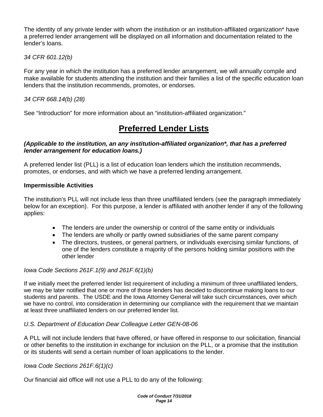The identity of any private lender with whom the institution or an institution-affiliated organization\* have a preferred lender arrangement will be displayed on all information and documentation related to the lender's loans.

*34 CFR 601.12(b)*

For any year in which the institution has a preferred lender arrangement, we will annually compile and make available for students attending the institution and their families a list of the specific education loan lenders that the institution recommends, promotes, or endorses.

*34 CFR 668.14(b) (28)*

See "Introduction" for more information about an "institution-affiliated organization."

# **Preferred Lender Lists**

### *(Applicable to the institution, an any institution-affiliated organization\*, that has a preferred lender arrangement for education loans.)*

A preferred lender list (PLL) is a list of education loan lenders which the institution recommends, promotes, or endorses, and with which we have a preferred lending arrangement.

### **Impermissible Activities**

The institution's PLL will not include less than three unaffiliated lenders (see the paragraph immediately below for an exception). For this purpose, a lender is affiliated with another lender if any of the following applies:

- The lenders are under the ownership or control of the same entity or individuals
- The lenders are wholly or partly owned subsidiaries of the same parent company
- The directors, trustees, or general partners, or individuals exercising similar functions, of one of the lenders constitute a majority of the persons holding similar positions with the other lender

### *Iowa Code Sections 261F.1(9) and 261F.6(1)(b)*

If we initially meet the preferred lender list requirement of including a minimum of three unaffiliated lenders, we may be later notified that one or more of those lenders has decided to discontinue making loans to our students and parents. The USDE and the Iowa Attorney General will take such circumstances, over which we have no control, into consideration in determining our compliance with the requirement that we maintain at least three unaffiliated lenders on our preferred lender list.

### *U.S. Department of Education Dear Colleague Letter GEN-08-06*

A PLL will not include lenders that have offered, or have offered in response to our solicitation, financial or other benefits to the institution in exchange for inclusion on the PLL, or a promise that the institution or its students will send a certain number of loan applications to the lender.

*Iowa Code Sections 261F.6(1)(c)*

Our financial aid office will not use a PLL to do any of the following: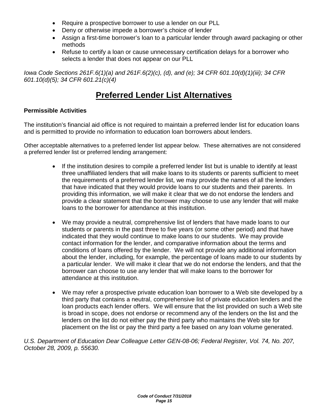- Require a prospective borrower to use a lender on our PLL
- Deny or otherwise impede a borrower's choice of lender
- Assign a first-time borrower's loan to a particular lender through award packaging or other methods
- Refuse to certify a loan or cause unnecessary certification delays for a borrower who selects a lender that does not appear on our PLL

*Iowa Code Sections 261F.6(1)(a) and 261F.6(2)(c), (d), and (e); 34 CFR 601.10(d)(1)(iii); 34 CFR 601.10(d)(5); 34 CFR 601.21(c)(4)*

# **Preferred Lender List Alternatives**

### **Permissible Activities**

The institution's financial aid office is not required to maintain a preferred lender list for education loans and is permitted to provide no information to education loan borrowers about lenders.

Other acceptable alternatives to a preferred lender list appear below. These alternatives are not considered a preferred lender list or preferred lending arrangement:

- If the institution desires to compile a preferred lender list but is unable to identify at least three unaffiliated lenders that will make loans to its students or parents sufficient to meet the requirements of a preferred lender list, we may provide the names of all the lenders that have indicated that they would provide loans to our students and their parents. In providing this information, we will make it clear that we do not endorse the lenders and provide a clear statement that the borrower may choose to use any lender that will make loans to the borrower for attendance at this institution.
- We may provide a neutral, comprehensive list of lenders that have made loans to our students or parents in the past three to five years (or some other period) and that have indicated that they would continue to make loans to our students. We may provide contact information for the lender, and comparative information about the terms and conditions of loans offered by the lender. We will not provide any additional information about the lender, including, for example, the percentage of loans made to our students by a particular lender. We will make it clear that we do not endorse the lenders, and that the borrower can choose to use any lender that will make loans to the borrower for attendance at this institution.
- We may refer a prospective private education loan borrower to a Web site developed by a third party that contains a neutral, comprehensive list of private education lenders and the loan products each lender offers. We will ensure that the list provided on such a Web site is broad in scope, does not endorse or recommend any of the lenders on the list and the lenders on the list do not either pay the third party who maintains the Web site for placement on the list or pay the third party a fee based on any loan volume generated.

*U.S. Department of Education Dear Colleague Letter GEN-08-06; Federal Register, Vol. 74, No. 207, October 28, 2009, p. 55630.*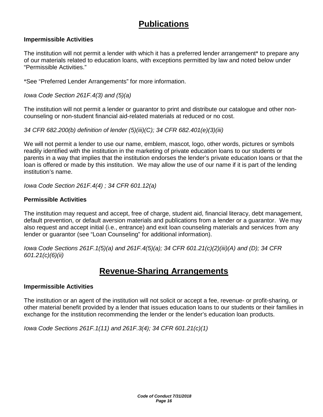## **Publications**

#### **Impermissible Activities**

The institution will not permit a lender with which it has a preferred lender arrangement\* to prepare any of our materials related to education loans, with exceptions permitted by law and noted below under "Permissible Activities."

\*See "Preferred Lender Arrangements" for more information.

*Iowa Code Section 261F.4(3) and (5)(a)*

The institution will not permit a lender or guarantor to print and distribute our catalogue and other noncounseling or non-student financial aid-related materials at reduced or no cost.

*34 CFR 682.200(b) definition of lender (5)(iii)(C); 34 CFR 682.401(e)(3)(iii)*

We will not permit a lender to use our name, emblem, mascot, logo, other words, pictures or symbols readily identified with the institution in the marketing of private education loans to our students or parents in a way that implies that the institution endorses the lender's private education loans or that the loan is offered or made by this institution. We may allow the use of our name if it is part of the lending institution's name.

*Iowa Code Section 261F.4(4) ; 34 CFR 601.12(a)*

#### **Permissible Activities**

The institution may request and accept, free of charge, student aid, financial literacy, debt management, default prevention, or default aversion materials and publications from a lender or a guarantor. We may also request and accept initial (i.e., entrance) and exit loan counseling materials and services from any lender or guarantor (see "Loan Counseling" for additional information).

*Iowa Code Sections 261F.1(5)(a) and 261F.4(5)(a); 34 CFR 601.21(c)(2)(iii)(A) and (D); 34 CFR 601.21(c)(6)(ii)*

### **Revenue-Sharing Arrangements**

#### **Impermissible Activities**

The institution or an agent of the institution will not solicit or accept a fee, revenue- or profit-sharing, or other material benefit provided by a lender that issues education loans to our students or their families in exchange for the institution recommending the lender or the lender's education loan products.

*Iowa Code Sections 261F.1(11) and 261F.3(4); 34 CFR 601.21(c)(1)*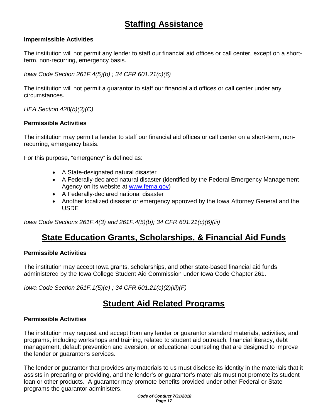# **Staffing Assistance**

#### **Impermissible Activities**

The institution will not permit any lender to staff our financial aid offices or call center, except on a shortterm, non-recurring, emergency basis.

*Iowa Code Section 261F.4(5)(b) ; 34 CFR 601.21(c)(6)*

The institution will not permit a guarantor to staff our financial aid offices or call center under any circumstances.

*HEA Section 428(b)(3)(C)* 

#### **Permissible Activities**

The institution may permit a lender to staff our financial aid offices or call center on a short-term, nonrecurring, emergency basis.

For this purpose, "emergency" is defined as:

- A State-designated natural disaster
- A Federally-declared natural disaster (identified by the Federal Emergency Management Agency on its website at [www.fema.gov\)](http://www.fema.gov/)
- A Federally-declared national disaster
- Another localized disaster or emergency approved by the Iowa Attorney General and the USDE

*Iowa Code Sections 261F.4(3) and 261F.4(5)(b); 34 CFR 601.21(c)(6)(iii)*

### **State Education Grants, Scholarships, & Financial Aid Funds**

#### **Permissible Activities**

The institution may accept Iowa grants, scholarships, and other state-based financial aid funds administered by the Iowa College Student Aid Commission under Iowa Code Chapter 261.

*Iowa Code Section 261F.1(5)(e) ; 34 CFR 601.21(c)(2)(iii)(F)*

### **Student Aid Related Programs**

#### **Permissible Activities**

The institution may request and accept from any lender or guarantor standard materials, activities, and programs, including workshops and training, related to student aid outreach, financial literacy, debt management, default prevention and aversion, or educational counseling that are designed to improve the lender or guarantor's services.

The lender or guarantor that provides any materials to us must disclose its identity in the materials that it assists in preparing or providing, and the lender's or guarantor's materials must not promote its student loan or other products. A guarantor may promote benefits provided under other Federal or State programs the guarantor administers.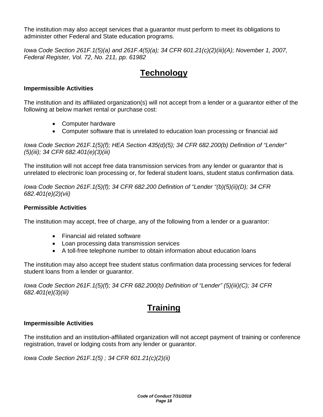The institution may also accept services that a guarantor must perform to meet its obligations to administer other Federal and State education programs.

*Iowa Code Section 261F.1(5)(a) and 261F.4(5)(a); 34 CFR 601.21(c)(2)(iii)(A); November 1, 2007, Federal Register, Vol. 72, No. 211, pp. 61982*

# **Technology**

### **Impermissible Activities**

The institution and its affiliated organization(s) will not accept from a lender or a guarantor either of the following at below market rental or purchase cost:

- Computer hardware
- Computer software that is unrelated to education loan processing or financial aid

*Iowa Code Section 261F.1(5)(f); HEA Section 435(d)(5); 34 CFR 682.200(b) Definition of "Lender" (5)(iii); 34 CFR 682.401(e)(3)(iii)*

The institution will not accept free data transmission services from any lender or guarantor that is unrelated to electronic loan processing or, for federal student loans, student status confirmation data.

*Iowa Code Section 261F.1(5)(f); 34 CFR 682.200 Definition of "Lender "(b)(5)(ii)(D); 34 CFR 682.401(e)(2)(vii)*

### **Permissible Activities**

The institution may accept, free of charge, any of the following from a lender or a guarantor:

- Financial aid related software
- Loan processing data transmission services
- A toll-free telephone number to obtain information about education loans

The institution may also accept free student status confirmation data processing services for federal student loans from a lender or guarantor.

*Iowa Code Section 261F.1(5)(f); 34 CFR 682.200(b) Definition of "Lender" (5)(iii)(C); 34 CFR 682.401(e)(3)(iii)*

# **Training**

### **Impermissible Activities**

The institution and an institution-affiliated organization will not accept payment of training or conference registration, travel or lodging costs from any lender or guarantor.

*Iowa Code Section 261F.1(5) ; 34 CFR 601.21(c)(2)(ii)*